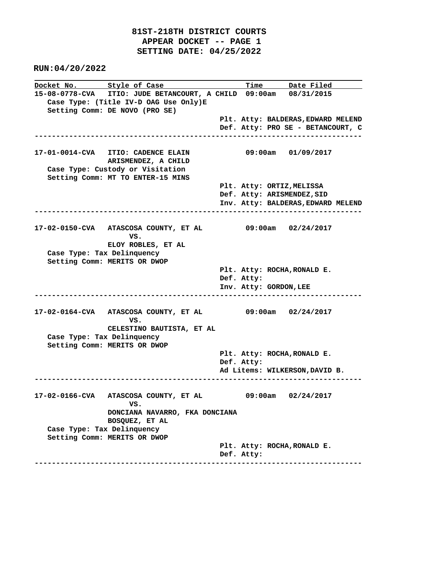## **81ST-218TH DISTRICT COURTS APPEAR DOCKET -- PAGE 1 SETTING DATE: 04/25/2022**

 **RUN:04/20/2022**

**Docket No.** Style of Case **Time** Date Filed **15-08-0778-CVA ITIO: JUDE BETANCOURT, A CHILD 09:00am 08/31/2015 Case Type: (Title IV-D OAG Use Only)E Setting Comm: DE NOVO (PRO SE) Plt. Atty: BALDERAS,EDWARD MELEND Def. Atty: PRO SE - BETANCOURT, C ---------------------------------------------------------------------------- 17-01-0014-CVA ITIO: CADENCE ELAIN 09:00am 01/09/2017 ARISMENDEZ, A CHILD Case Type: Custody or Visitation Setting Comm: MT TO ENTER-15 MINS Plt. Atty: ORTIZ,MELISSA Def. Atty: ARISMENDEZ,SID Inv. Atty: BALDERAS,EDWARD MELEND ---------------------------------------------------------------------------- 17-02-0150-CVA ATASCOSA COUNTY, ET AL 09:00am 02/24/2017 VS. ELOY ROBLES, ET AL Case Type: Tax Delinquency Setting Comm: MERITS OR DWOP Plt. Atty: ROCHA,RONALD E. Def. Atty: Inv. Atty: GORDON,LEE ---------------------------------------------------------------------------- 17-02-0164-CVA ATASCOSA COUNTY, ET AL 09:00am 02/24/2017 VS. CELESTINO BAUTISTA, ET AL Case Type: Tax Delinquency Setting Comm: MERITS OR DWOP Plt. Atty: ROCHA,RONALD E. Def. Atty: Ad Litems: WILKERSON,DAVID B. ---------------------------------------------------------------------------- 17-02-0166-CVA ATASCOSA COUNTY, ET AL 09:00am 02/24/2017 VS. DONCIANA NAVARRO, FKA DONCIANA BOSQUEZ, ET AL Case Type: Tax Delinquency Setting Comm: MERITS OR DWOP Plt. Atty: ROCHA,RONALD E. Def. Atty: ----------------------------------------------------------------------------**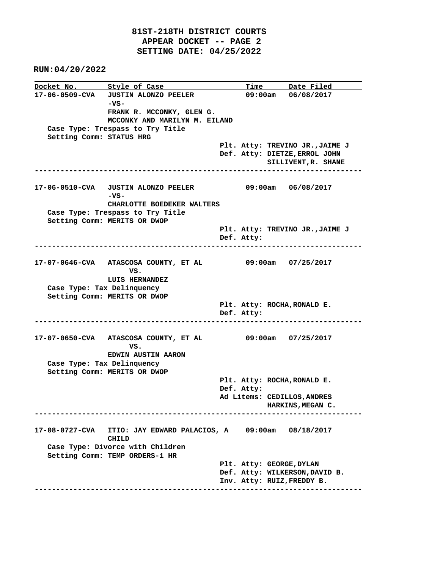|                            | Docket No. Style of Case                                 |  |            |                    | Time Date Filed                                          |
|----------------------------|----------------------------------------------------------|--|------------|--------------------|----------------------------------------------------------|
|                            | 17-06-0509-CVA JUSTIN ALONZO PEELER                      |  |            | 09:00am 06/08/2017 |                                                          |
|                            | -vs-                                                     |  |            |                    |                                                          |
|                            | FRANK R. MCCONKY, GLEN G.                                |  |            |                    |                                                          |
|                            | MCCONKY AND MARILYN M. EILAND                            |  |            |                    |                                                          |
|                            | Case Type: Trespass to Try Title                         |  |            |                    |                                                          |
| Setting Comm: STATUS HRG   |                                                          |  |            |                    |                                                          |
|                            |                                                          |  |            |                    | Plt. Atty: TREVINO JR., JAIME J                          |
|                            |                                                          |  |            |                    | Def. Atty: DIETZE, ERROL JOHN                            |
|                            | ------------------------                                 |  |            |                    | SILLIVENT, R. SHANE<br>. _ _ _ _ _ _ _ _ _ _ _ _ _ _ _ _ |
|                            |                                                          |  |            |                    |                                                          |
|                            | 17-06-0510-CVA JUSTIN ALONZO PEELER                      |  |            |                    | 09:00am 06/08/2017                                       |
|                            | -vs-                                                     |  |            |                    |                                                          |
|                            | CHARLOTTE BOEDEKER WALTERS                               |  |            |                    |                                                          |
|                            | Case Type: Trespass to Try Title                         |  |            |                    |                                                          |
|                            | Setting Comm: MERITS OR DWOP                             |  |            |                    |                                                          |
|                            |                                                          |  | Def. Atty: |                    | Plt. Atty: TREVINO JR., JAIME J                          |
|                            |                                                          |  |            |                    |                                                          |
|                            |                                                          |  |            |                    |                                                          |
|                            | 17-07-0646-CVA ATASCOSA COUNTY, ET AL 09:00am 07/25/2017 |  |            |                    |                                                          |
|                            | VS.                                                      |  |            |                    |                                                          |
|                            | LUIS HERNANDEZ                                           |  |            |                    |                                                          |
| Case Type: Tax Delinquency |                                                          |  |            |                    |                                                          |
|                            | Setting Comm: MERITS OR DWOP                             |  |            |                    | Plt. Atty: ROCHA, RONALD E.                              |
|                            |                                                          |  | Def. Atty: |                    |                                                          |
|                            |                                                          |  |            |                    |                                                          |
|                            |                                                          |  |            |                    |                                                          |
|                            | 17-07-0650-CVA ATASCOSA COUNTY, ET AL 09:00am 07/25/2017 |  |            |                    |                                                          |
|                            | VS.                                                      |  |            |                    |                                                          |
|                            | <b>EDWIN AUSTIN AARON</b>                                |  |            |                    |                                                          |
| Case Type: Tax Delinquency |                                                          |  |            |                    |                                                          |
|                            | Setting Comm: MERITS OR DWOP                             |  |            |                    | Plt. Atty: ROCHA, RONALD E.                              |
|                            |                                                          |  | Def. Atty: |                    |                                                          |
|                            |                                                          |  |            |                    | Ad Litems: CEDILLOS, ANDRES                              |
|                            |                                                          |  |            |                    | HARKINS, MEGAN C.                                        |
|                            |                                                          |  |            |                    |                                                          |
| 17-08-0727-CVA             | ITIO: JAY EDWARD PALACIOS, A                             |  | 09:00am    |                    | 08/18/2017                                               |
|                            | <b>CHILD</b>                                             |  |            |                    |                                                          |
|                            | Case Type: Divorce with Children                         |  |            |                    |                                                          |
|                            | Setting Comm: TEMP ORDERS-1 HR                           |  |            |                    |                                                          |
|                            |                                                          |  |            |                    | Plt. Atty: GEORGE, DYLAN                                 |
|                            |                                                          |  |            |                    | Def. Atty: WILKERSON, DAVID B.                           |
|                            |                                                          |  |            |                    | Inv. Atty: RUIZ, FREDDY B.                               |
|                            |                                                          |  |            |                    |                                                          |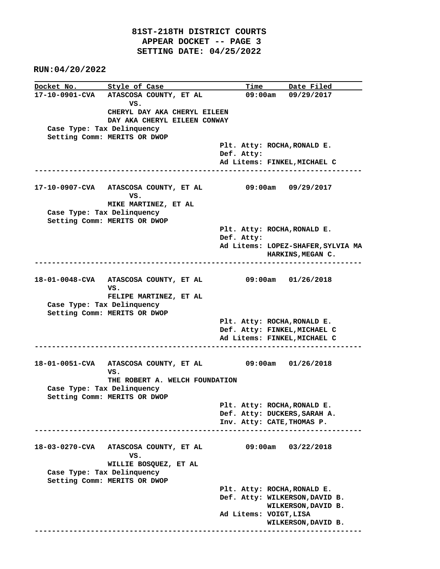**Docket No.** Style of Case Time Date Filed **17-10-0901-CVA ATASCOSA COUNTY, ET AL 09:00am 09/29/2017** *VS.* **VS. CHERYL DAY AKA CHERYL EILEEN DAY AKA CHERYL EILEEN CONWAY Case Type: Tax Delinquency Setting Comm: MERITS OR DWOP Plt. Atty: ROCHA,RONALD E. Def. Atty: Ad Litems: FINKEL,MICHAEL C ---------------------------------------------------------------------------- 17-10-0907-CVA ATASCOSA COUNTY, ET AL 09:00am 09/29/2017** *VS.* **VS. MIKE MARTINEZ, ET AL Case Type: Tax Delinquency Setting Comm: MERITS OR DWOP Plt. Atty: ROCHA,RONALD E. Def. Atty: Ad Litems: LOPEZ-SHAFER,SYLVIA MA HARKINS,MEGAN C. ---------------------------------------------------------------------------- 18-01-0048-CVA ATASCOSA COUNTY, ET AL 09:00am 01/26/2018 VS. FELIPE MARTINEZ, ET AL Case Type: Tax Delinquency Setting Comm: MERITS OR DWOP Plt. Atty: ROCHA,RONALD E. Def. Atty: FINKEL,MICHAEL C Ad Litems: FINKEL,MICHAEL C ---------------------------------------------------------------------------- 18-01-0051-CVA ATASCOSA COUNTY, ET AL 09:00am 01/26/2018 VS. THE ROBERT A. WELCH FOUNDATION Case Type: Tax Delinquency Setting Comm: MERITS OR DWOP Plt. Atty: ROCHA,RONALD E. Def. Atty: DUCKERS,SARAH A. Inv. Atty: CATE,THOMAS P. ---------------------------------------------------------------------------- 18-03-0270-CVA ATASCOSA COUNTY, ET AL 09:00am 03/22/2018** *VS.*  **WILLIE BOSQUEZ, ET AL Case Type: Tax Delinquency Setting Comm: MERITS OR DWOP Plt. Atty: ROCHA,RONALD E. Def. Atty: WILKERSON,DAVID B. WILKERSON,DAVID B. Ad Litems: VOIGT,LISA WILKERSON,DAVID B. ----------------------------------------------------------------------------**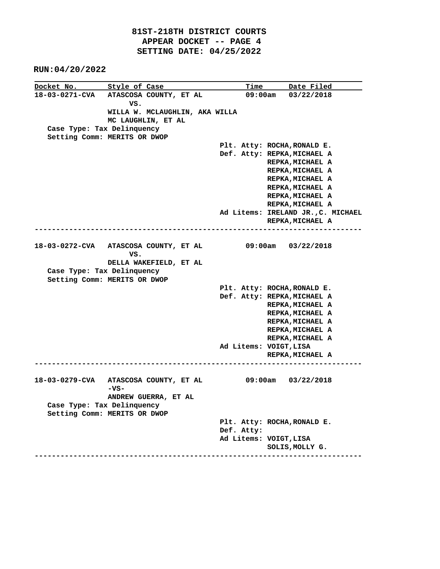**Docket No.** Style of Case Time Date Filed **18-03-0271-CVA ATASCOSA COUNTY, ET AL 09:00am 03/22/2018 VS. WILLA W. MCLAUGHLIN, AKA WILLA MC LAUGHLIN, ET AL Case Type: Tax Delinquency Setting Comm: MERITS OR DWOP Plt. Atty: ROCHA,RONALD E. Def. Atty: REPKA,MICHAEL A REPKA,MICHAEL A REPKA,MICHAEL A REPKA,MICHAEL A REPKA,MICHAEL A REPKA,MICHAEL A REPKA,MICHAEL A Ad Litems: IRELAND JR.,C. MICHAEL REPKA,MICHAEL A ---------------------------------------------------------------------------- 18-03-0272-CVA ATASCOSA COUNTY, ET AL 09:00am 03/22/2018** *VS.* **VS. DELLA WAKEFIELD, ET AL Case Type: Tax Delinquency Setting Comm: MERITS OR DWOP Plt. Atty: ROCHA,RONALD E. Def. Atty: REPKA,MICHAEL A REPKA,MICHAEL A REPKA,MICHAEL A REPKA,MICHAEL A REPKA,MICHAEL A REPKA,MICHAEL A Ad Litems: VOIGT,LISA REPKA,MICHAEL A ---------------------------------------------------------------------------- 18-03-0279-CVA ATASCOSA COUNTY, ET AL 09:00am 03/22/2018 -VS- ANDREW GUERRA, ET AL Case Type: Tax Delinquency Setting Comm: MERITS OR DWOP Plt. Atty: ROCHA,RONALD E. Def. Atty: Ad Litems: VOIGT,LISA SOLIS,MOLLY G. ----------------------------------------------------------------------------**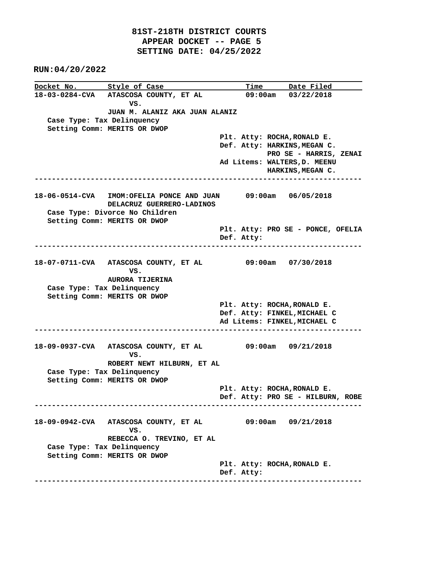**Docket No.** Style of Case Time Date Filed **18-03-0284-CVA ATASCOSA COUNTY, ET AL 09:00am 03/22/2018** *VS.* **VS. JUAN M. ALANIZ AKA JUAN ALANIZ Case Type: Tax Delinquency Setting Comm: MERITS OR DWOP Plt. Atty: ROCHA,RONALD E. Def. Atty: HARKINS,MEGAN C. PRO SE - HARRIS, ZENAI Ad Litems: WALTERS,D. MEENU HARKINS,MEGAN C. ---------------------------------------------------------------------------- 18-06-0514-CVA IMOM:OFELIA PONCE AND JUAN 09:00am 06/05/2018 DELACRUZ GUERRERO-LADINOS Case Type: Divorce No Children Setting Comm: MERITS OR DWOP Plt. Atty: PRO SE - PONCE, OFELIA Def. Atty: ---------------------------------------------------------------------------- 18-07-0711-CVA ATASCOSA COUNTY, ET AL 09:00am 07/30/2018 VS. AURORA TIJERINA Case Type: Tax Delinquency Setting Comm: MERITS OR DWOP Plt. Atty: ROCHA,RONALD E. Def. Atty: FINKEL,MICHAEL C Ad Litems: FINKEL,MICHAEL C ---------------------------------------------------------------------------- 18-09-0937-CVA ATASCOSA COUNTY, ET AL 09:00am 09/21/2018** *VS.* **VS. ROBERT NEWT HILBURN, ET AL Case Type: Tax Delinquency Setting Comm: MERITS OR DWOP Plt. Atty: ROCHA,RONALD E. Def. Atty: PRO SE - HILBURN, ROBE ---------------------------------------------------------------------------- 18-09-0942-CVA ATASCOSA COUNTY, ET AL 09:00am 09/21/2018 VS. REBECCA O. TREVINO, ET AL Case Type: Tax Delinquency Setting Comm: MERITS OR DWOP Plt. Atty: ROCHA,RONALD E. Def. Atty: ----------------------------------------------------------------------------**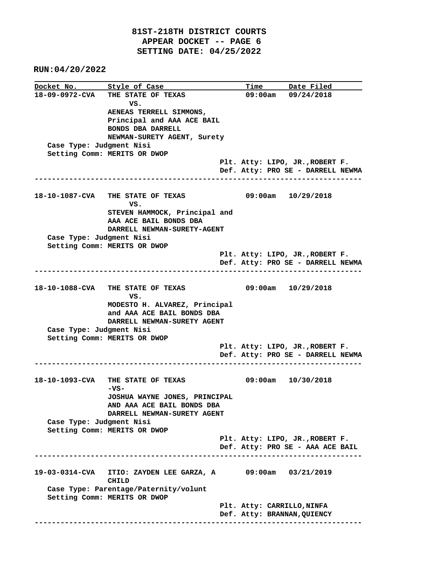**Docket No.** Style of Case Time Date Filed **18-09-0972-CVA THE STATE OF TEXAS 09:00am 09/24/2018 VS. AENEAS TERRELL SIMMONS, Principal and AAA ACE BAIL BONDS DBA DARRELL NEWMAN-SURETY AGENT, Surety Case Type: Judgment Nisi Setting Comm: MERITS OR DWOP Plt. Atty: LIPO, JR.,ROBERT F. Def. Atty: PRO SE - DARRELL NEWMA ---------------------------------------------------------------------------- 18-10-1087-CVA THE STATE OF TEXAS 09:00am 10/29/2018 VS. STEVEN HAMMOCK, Principal and AAA ACE BAIL BONDS DBA DARRELL NEWMAN-SURETY-AGENT Case Type: Judgment Nisi Setting Comm: MERITS OR DWOP Plt. Atty: LIPO, JR.,ROBERT F. Def. Atty: PRO SE - DARRELL NEWMA ---------------------------------------------------------------------------- 18-10-1088-CVA THE STATE OF TEXAS 09:00am 10/29/2018** *VS.*  **MODESTO H. ALVAREZ, Principal and AAA ACE BAIL BONDS DBA DARRELL NEWMAN-SURETY AGENT Case Type: Judgment Nisi Setting Comm: MERITS OR DWOP Plt. Atty: LIPO, JR.,ROBERT F. Def. Atty: PRO SE - DARRELL NEWMA ---------------------------------------------------------------------------- 18-10-1093-CVA THE STATE OF TEXAS 09:00am 10/30/2018 -VS- JOSHUA WAYNE JONES, PRINCIPAL AND AAA ACE BAIL BONDS DBA DARRELL NEWMAN-SURETY AGENT Case Type: Judgment Nisi Setting Comm: MERITS OR DWOP Plt. Atty: LIPO, JR.,ROBERT F. Def. Atty: PRO SE - AAA ACE BAIL ---------------------------------------------------------------------------- 19-03-0314-CVA ITIO: ZAYDEN LEE GARZA, A 09:00am 03/21/2019 CHILD Case Type: Parentage/Paternity/volunt Setting Comm: MERITS OR DWOP Plt. Atty: CARRILLO,NINFA Def. Atty: BRANNAN,QUIENCY ----------------------------------------------------------------------------**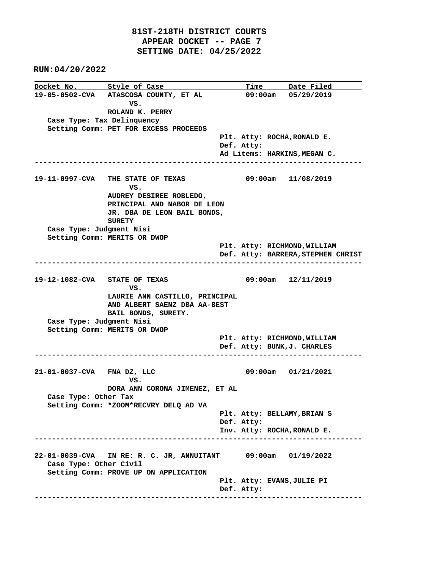|                               | Docket No. Style of Case                                     |  |            | <u>Time Date Filed</u>             |  |  |  |
|-------------------------------|--------------------------------------------------------------|--|------------|------------------------------------|--|--|--|
|                               | 19-05-0502-CVA ATASCOSA COUNTY, ET AL                        |  |            | 09:00am 05/29/2019                 |  |  |  |
|                               | vs.                                                          |  |            |                                    |  |  |  |
|                               | ROLAND K. PERRY                                              |  |            |                                    |  |  |  |
| Case Type: Tax Delinquency    |                                                              |  |            |                                    |  |  |  |
|                               | Setting Comm: PET FOR EXCESS PROCEEDS                        |  |            |                                    |  |  |  |
|                               |                                                              |  |            | Plt. Atty: ROCHA, RONALD E.        |  |  |  |
|                               |                                                              |  | Def. Atty: | Ad Litems: HARKINS, MEGAN C.       |  |  |  |
|                               |                                                              |  |            |                                    |  |  |  |
|                               |                                                              |  |            |                                    |  |  |  |
|                               | 19-11-0997-CVA THE STATE OF TEXAS                            |  |            | 09:00am 11/08/2019                 |  |  |  |
|                               | VS.                                                          |  |            |                                    |  |  |  |
|                               | AUDREY DESIREE ROBLEDO,                                      |  |            |                                    |  |  |  |
|                               | PRINCIPAL AND NABOR DE LEON                                  |  |            |                                    |  |  |  |
|                               | JR. DBA DE LEON BAIL BONDS,                                  |  |            |                                    |  |  |  |
|                               | <b>SURETY</b>                                                |  |            |                                    |  |  |  |
| Case Type: Judgment Nisi      |                                                              |  |            |                                    |  |  |  |
|                               | Setting Comm: MERITS OR DWOP                                 |  |            |                                    |  |  |  |
|                               |                                                              |  |            | Plt. Atty: RICHMOND, WILLIAM       |  |  |  |
|                               |                                                              |  |            | Def. Atty: BARRERA, STEPHEN CHRIST |  |  |  |
|                               |                                                              |  |            | ------------------------------     |  |  |  |
| 19-12-1082-CVA STATE OF TEXAS |                                                              |  |            | 09:00am 12/11/2019                 |  |  |  |
|                               | VS.                                                          |  |            |                                    |  |  |  |
|                               | LAURIE ANN CASTILLO, PRINCIPAL                               |  |            |                                    |  |  |  |
|                               | AND ALBERT SAENZ DBA AA-BEST                                 |  |            |                                    |  |  |  |
|                               | BAIL BONDS, SURETY.                                          |  |            |                                    |  |  |  |
| Case Type: Judgment Nisi      |                                                              |  |            |                                    |  |  |  |
|                               | Setting Comm: MERITS OR DWOP                                 |  |            |                                    |  |  |  |
|                               |                                                              |  |            | Plt. Atty: RICHMOND, WILLIAM       |  |  |  |
|                               |                                                              |  |            | Def. Atty: BUNK, J. CHARLES        |  |  |  |
|                               |                                                              |  |            |                                    |  |  |  |
|                               |                                                              |  |            |                                    |  |  |  |
| 21-01-0037-CVA FNA DZ, LLC    |                                                              |  |            | $09:00am$ $01/21/2021$             |  |  |  |
|                               | VS.<br>DORA ANN CORONA JIMENEZ, ET AL                        |  |            |                                    |  |  |  |
| Case Type: Other Tax          |                                                              |  |            |                                    |  |  |  |
|                               | Setting Comm: *ZOOM*RECVRY DELQ AD VA                        |  |            |                                    |  |  |  |
|                               |                                                              |  |            | Plt. Atty: BELLAMY, BRIAN S        |  |  |  |
|                               |                                                              |  | Def. Atty: |                                    |  |  |  |
|                               |                                                              |  |            | Inv. Atty: ROCHA, RONALD E.        |  |  |  |
|                               |                                                              |  |            |                                    |  |  |  |
|                               |                                                              |  |            |                                    |  |  |  |
|                               | 22-01-0039-CVA IN RE: R. C. JR, ANNUITANT 09:00am 01/19/2022 |  |            |                                    |  |  |  |
| Case Type: Other Civil        |                                                              |  |            |                                    |  |  |  |
|                               | Setting Comm: PROVE UP ON APPLICATION                        |  |            |                                    |  |  |  |
|                               |                                                              |  |            | Plt. Atty: EVANS, JULIE PI         |  |  |  |
|                               |                                                              |  | Def. Atty: |                                    |  |  |  |
|                               |                                                              |  |            |                                    |  |  |  |